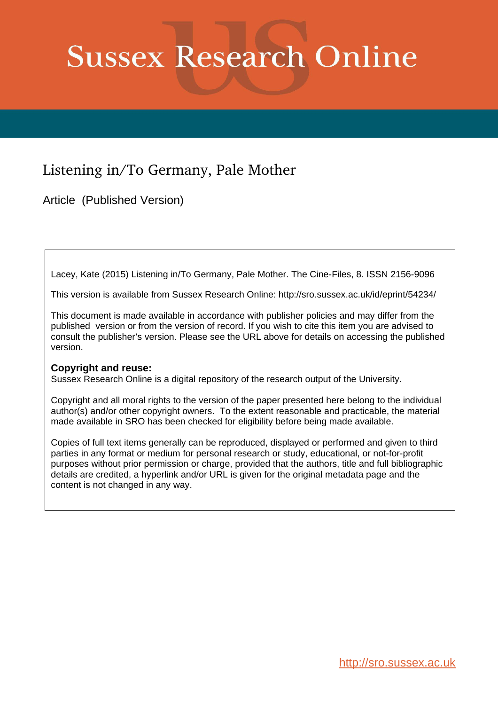# **Sussex Research Online**

## Listening in/To Germany, Pale Mother

Article (Published Version)

Lacey, Kate (2015) Listening in/To Germany, Pale Mother. The Cine-Files, 8. ISSN 2156-9096

This version is available from Sussex Research Online: http://sro.sussex.ac.uk/id/eprint/54234/

This document is made available in accordance with publisher policies and may differ from the published version or from the version of record. If you wish to cite this item you are advised to consult the publisher's version. Please see the URL above for details on accessing the published version.

## **Copyright and reuse:**

Sussex Research Online is a digital repository of the research output of the University.

Copyright and all moral rights to the version of the paper presented here belong to the individual author(s) and/or other copyright owners. To the extent reasonable and practicable, the material made available in SRO has been checked for eligibility before being made available.

Copies of full text items generally can be reproduced, displayed or performed and given to third parties in any format or medium for personal research or study, educational, or not-for-profit purposes without prior permission or charge, provided that the authors, title and full bibliographic details are credited, a hyperlink and/or URL is given for the original metadata page and the content is not changed in any way.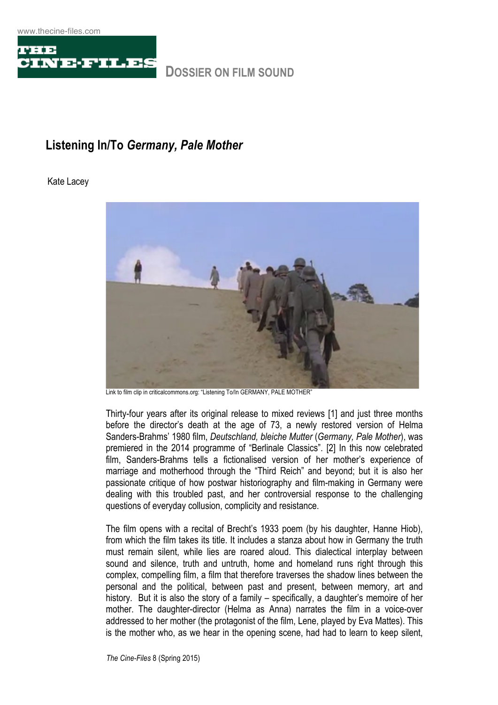

## **Listening In/To** *Germany, Pale Mother*

## Kate Lacey



Link to film clip in criticalcommons.org: "Listening To/In GERMANY, PALE MOTHER"

Thirty-four years after its original release to mixed reviews [1] and just three months before the director's death at the age of 73, a newly restored version of Helma Sanders-Brahms' 1980 film, *Deutschland, bleiche Mutter* (*Germany, Pale Mother*), was premiered in the 2014 programme of "Berlinale Classics". [2] In this now celebrated film, Sanders-Brahms tells a fictionalised version of her mother's experience of marriage and motherhood through the "Third Reich" and beyond; but it is also her passionate critique of how postwar historiography and film-making in Germany were dealing with this troubled past, and her controversial response to the challenging questions of everyday collusion, complicity and resistance.

The film opens with a recital of Brecht's 1933 poem (by his daughter, Hanne Hiob), from which the film takes its title. It includes a stanza about how in Germany the truth must remain silent, while lies are roared aloud. This dialectical interplay between sound and silence, truth and untruth, home and homeland runs right through this complex, compelling film, a film that therefore traverses the shadow lines between the personal and the political, between past and present, between memory, art and history. But it is also the story of a family – specifically, a daughter's memoire of her mother. The daughter-director (Helma as Anna) narrates the film in a voice-over addressed to her mother (the protagonist of the film, Lene, played by Eva Mattes). This is the mother who, as we hear in the opening scene, had had to learn to keep silent,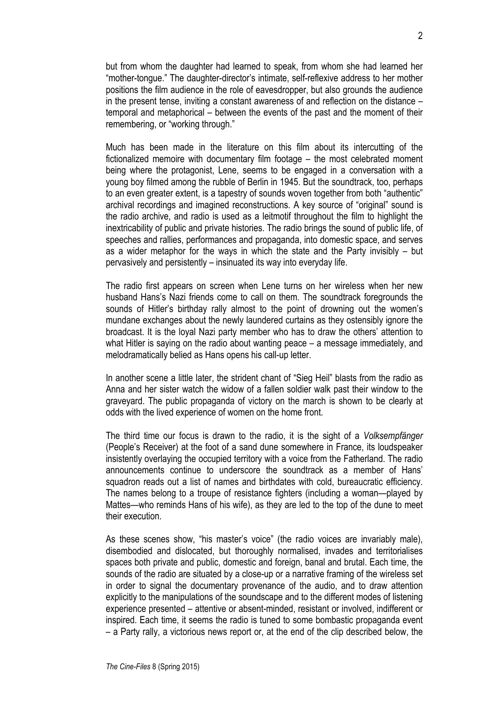but from whom the daughter had learned to speak, from whom she had learned her "mother-tongue." The daughter-director's intimate, self-reflexive address to her mother positions the film audience in the role of eavesdropper, but also grounds the audience in the present tense, inviting a constant awareness of and reflection on the distance – temporal and metaphorical – between the events of the past and the moment of their remembering, or "working through."

Much has been made in the literature on this film about its intercutting of the fictionalized memoire with documentary film footage – the most celebrated moment being where the protagonist, Lene, seems to be engaged in a conversation with a young boy filmed among the rubble of Berlin in 1945. But the soundtrack, too, perhaps to an even greater extent, is a tapestry of sounds woven together from both "authentic" archival recordings and imagined reconstructions. A key source of "original" sound is the radio archive, and radio is used as a leitmotif throughout the film to highlight the inextricability of public and private histories. The radio brings the sound of public life, of speeches and rallies, performances and propaganda, into domestic space, and serves as a wider metaphor for the ways in which the state and the Party invisibly – but pervasively and persistently – insinuated its way into everyday life.

The radio first appears on screen when Lene turns on her wireless when her new husband Hans's Nazi friends come to call on them. The soundtrack foregrounds the sounds of Hitler's birthday rally almost to the point of drowning out the women's mundane exchanges about the newly laundered curtains as they ostensibly ignore the broadcast. It is the loyal Nazi party member who has to draw the others' attention to what Hitler is saying on the radio about wanting peace – a message immediately, and melodramatically belied as Hans opens his call-up letter.

In another scene a little later, the strident chant of "Sieg Heil" blasts from the radio as Anna and her sister watch the widow of a fallen soldier walk past their window to the graveyard. The public propaganda of victory on the march is shown to be clearly at odds with the lived experience of women on the home front.

The third time our focus is drawn to the radio, it is the sight of a *Volksempfänger* (People's Receiver) at the foot of a sand dune somewhere in France, its loudspeaker insistently overlaying the occupied territory with a voice from the Fatherland. The radio announcements continue to underscore the soundtrack as a member of Hans' squadron reads out a list of names and birthdates with cold, bureaucratic efficiency. The names belong to a troupe of resistance fighters (including a woman—played by Mattes—who reminds Hans of his wife), as they are led to the top of the dune to meet their execution.

As these scenes show, "his master's voice" (the radio voices are invariably male), disembodied and dislocated, but thoroughly normalised, invades and territorialises spaces both private and public, domestic and foreign, banal and brutal. Each time, the sounds of the radio are situated by a close-up or a narrative framing of the wireless set in order to signal the documentary provenance of the audio, and to draw attention explicitly to the manipulations of the soundscape and to the different modes of listening experience presented – attentive or absent-minded, resistant or involved, indifferent or inspired. Each time, it seems the radio is tuned to some bombastic propaganda event – a Party rally, a victorious news report or, at the end of the clip described below, the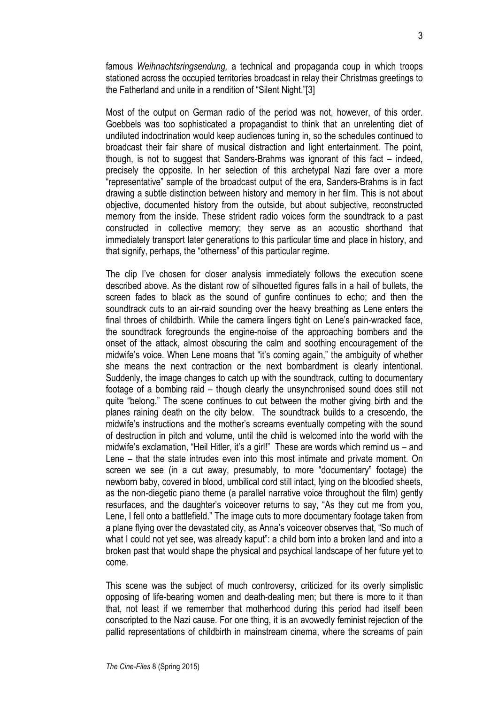famous *Weihnachtsringsendung,* a technical and propaganda coup in which troops stationed across the occupied territories broadcast in relay their Christmas greetings to the Fatherland and unite in a rendition of "Silent Night."[3]

Most of the output on German radio of the period was not, however, of this order. Goebbels was too sophisticated a propagandist to think that an unrelenting diet of undiluted indoctrination would keep audiences tuning in, so the schedules continued to broadcast their fair share of musical distraction and light entertainment. The point, though, is not to suggest that Sanders-Brahms was ignorant of this fact – indeed, precisely the opposite. In her selection of this archetypal Nazi fare over a more "representative" sample of the broadcast output of the era, Sanders-Brahms is in fact drawing a subtle distinction between history and memory in her film. This is not about objective, documented history from the outside, but about subjective, reconstructed memory from the inside. These strident radio voices form the soundtrack to a past constructed in collective memory; they serve as an acoustic shorthand that immediately transport later generations to this particular time and place in history, and that signify, perhaps, the "otherness" of this particular regime.

The clip I've chosen for closer analysis immediately follows the execution scene described above. As the distant row of silhouetted figures falls in a hail of bullets, the screen fades to black as the sound of gunfire continues to echo; and then the soundtrack cuts to an air-raid sounding over the heavy breathing as Lene enters the final throes of childbirth. While the camera lingers tight on Lene's pain-wracked face, the soundtrack foregrounds the engine-noise of the approaching bombers and the onset of the attack, almost obscuring the calm and soothing encouragement of the midwife's voice. When Lene moans that "it's coming again," the ambiguity of whether she means the next contraction or the next bombardment is clearly intentional. Suddenly, the image changes to catch up with the soundtrack, cutting to documentary footage of a bombing raid – though clearly the unsynchronised sound does still not quite "belong." The scene continues to cut between the mother giving birth and the planes raining death on the city below. The soundtrack builds to a crescendo, the midwife's instructions and the mother's screams eventually competing with the sound of destruction in pitch and volume, until the child is welcomed into the world with the midwife's exclamation, "Heil Hitler, it's a girl!" These are words which remind us – and Lene – that the state intrudes even into this most intimate and private moment. On screen we see (in a cut away, presumably, to more "documentary" footage) the newborn baby, covered in blood, umbilical cord still intact, lying on the bloodied sheets, as the non-diegetic piano theme (a parallel narrative voice throughout the film) gently resurfaces, and the daughter's voiceover returns to say, "As they cut me from you, Lene, I fell onto a battlefield." The image cuts to more documentary footage taken from a plane flying over the devastated city, as Anna's voiceover observes that, "So much of what I could not yet see, was already kaput": a child born into a broken land and into a broken past that would shape the physical and psychical landscape of her future yet to come.

This scene was the subject of much controversy, criticized for its overly simplistic opposing of life-bearing women and death-dealing men; but there is more to it than that, not least if we remember that motherhood during this period had itself been conscripted to the Nazi cause. For one thing, it is an avowedly feminist rejection of the pallid representations of childbirth in mainstream cinema, where the screams of pain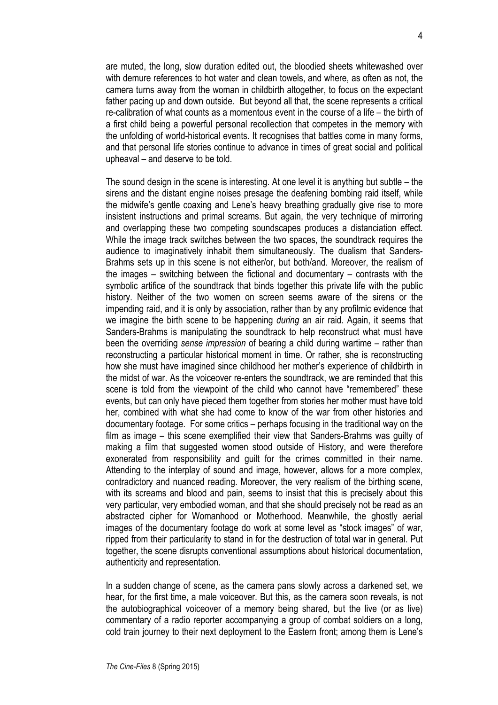are muted, the long, slow duration edited out, the bloodied sheets whitewashed over with demure references to hot water and clean towels, and where, as often as not, the camera turns away from the woman in childbirth altogether, to focus on the expectant father pacing up and down outside. But beyond all that, the scene represents a critical re-calibration of what counts as a momentous event in the course of a life – the birth of a first child being a powerful personal recollection that competes in the memory with the unfolding of world-historical events. It recognises that battles come in many forms, and that personal life stories continue to advance in times of great social and political upheaval – and deserve to be told.

The sound design in the scene is interesting. At one level it is anything but subtle – the sirens and the distant engine noises presage the deafening bombing raid itself, while the midwife's gentle coaxing and Lene's heavy breathing gradually give rise to more insistent instructions and primal screams. But again, the very technique of mirroring and overlapping these two competing soundscapes produces a distanciation effect. While the image track switches between the two spaces, the soundtrack requires the audience to imaginatively inhabit them simultaneously. The dualism that Sanders-Brahms sets up in this scene is not either/or, but both/and. Moreover, the realism of the images – switching between the fictional and documentary – contrasts with the symbolic artifice of the soundtrack that binds together this private life with the public history. Neither of the two women on screen seems aware of the sirens or the impending raid, and it is only by association, rather than by any profilmic evidence that we imagine the birth scene to be happening *during* an air raid. Again, it seems that Sanders-Brahms is manipulating the soundtrack to help reconstruct what must have been the overriding *sense impression* of bearing a child during wartime – rather than reconstructing a particular historical moment in time. Or rather, she is reconstructing how she must have imagined since childhood her mother's experience of childbirth in the midst of war. As the voiceover re-enters the soundtrack, we are reminded that this scene is told from the viewpoint of the child who cannot have "remembered" these events, but can only have pieced them together from stories her mother must have told her, combined with what she had come to know of the war from other histories and documentary footage. For some critics – perhaps focusing in the traditional way on the film as image – this scene exemplified their view that Sanders-Brahms was guilty of making a film that suggested women stood outside of History, and were therefore exonerated from responsibility and guilt for the crimes committed in their name. Attending to the interplay of sound and image, however, allows for a more complex, contradictory and nuanced reading. Moreover, the very realism of the birthing scene, with its screams and blood and pain, seems to insist that this is precisely about this very particular, very embodied woman, and that she should precisely not be read as an abstracted cipher for Womanhood or Motherhood. Meanwhile, the ghostly aerial images of the documentary footage do work at some level as "stock images" of war, ripped from their particularity to stand in for the destruction of total war in general. Put together, the scene disrupts conventional assumptions about historical documentation, authenticity and representation.

In a sudden change of scene, as the camera pans slowly across a darkened set, we hear, for the first time, a male voiceover. But this, as the camera soon reveals, is not the autobiographical voiceover of a memory being shared, but the live (or as live) commentary of a radio reporter accompanying a group of combat soldiers on a long, cold train journey to their next deployment to the Eastern front; among them is Lene's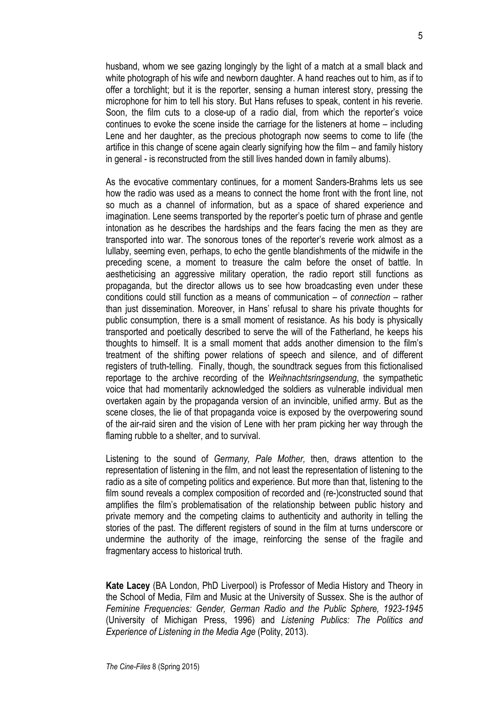husband, whom we see gazing longingly by the light of a match at a small black and white photograph of his wife and newborn daughter. A hand reaches out to him, as if to offer a torchlight; but it is the reporter, sensing a human interest story, pressing the microphone for him to tell his story. But Hans refuses to speak, content in his reverie. Soon, the film cuts to a close-up of a radio dial, from which the reporter's voice continues to evoke the scene inside the carriage for the listeners at home – including Lene and her daughter, as the precious photograph now seems to come to life (the artifice in this change of scene again clearly signifying how the film – and family history in general - is reconstructed from the still lives handed down in family albums).

As the evocative commentary continues, for a moment Sanders-Brahms lets us see how the radio was used as a means to connect the home front with the front line, not so much as a channel of information, but as a space of shared experience and imagination. Lene seems transported by the reporter's poetic turn of phrase and gentle intonation as he describes the hardships and the fears facing the men as they are transported into war. The sonorous tones of the reporter's reverie work almost as a lullaby, seeming even, perhaps, to echo the gentle blandishments of the midwife in the preceding scene, a moment to treasure the calm before the onset of battle. In aestheticising an aggressive military operation, the radio report still functions as propaganda, but the director allows us to see how broadcasting even under these conditions could still function as a means of communication – of *connection* – rather than just dissemination. Moreover, in Hans' refusal to share his private thoughts for public consumption, there is a small moment of resistance. As his body is physically transported and poetically described to serve the will of the Fatherland, he keeps his thoughts to himself. It is a small moment that adds another dimension to the film's treatment of the shifting power relations of speech and silence, and of different registers of truth-telling. Finally, though, the soundtrack segues from this fictionalised reportage to the archive recording of the *Weihnachtsringsendung*, the sympathetic voice that had momentarily acknowledged the soldiers as vulnerable individual men overtaken again by the propaganda version of an invincible, unified army. But as the scene closes, the lie of that propaganda voice is exposed by the overpowering sound of the air-raid siren and the vision of Lene with her pram picking her way through the flaming rubble to a shelter, and to survival.

Listening to the sound of *Germany, Pale Mother,* then, draws attention to the representation of listening in the film, and not least the representation of listening to the radio as a site of competing politics and experience. But more than that, listening to the film sound reveals a complex composition of recorded and (re-)constructed sound that amplifies the film's problematisation of the relationship between public history and private memory and the competing claims to authenticity and authority in telling the stories of the past. The different registers of sound in the film at turns underscore or undermine the authority of the image, reinforcing the sense of the fragile and fragmentary access to historical truth.

**Kate Lacey** (BA London, PhD Liverpool) is Professor of Media History and Theory in the School of Media, Film and Music at the University of Sussex. She is the author of *Feminine Frequencies: Gender, German Radio and the Public Sphere, 1923-1945*  (University of Michigan Press, 1996) and *Listening Publics: The Politics and Experience of Listening in the Media Age* (Polity, 2013).